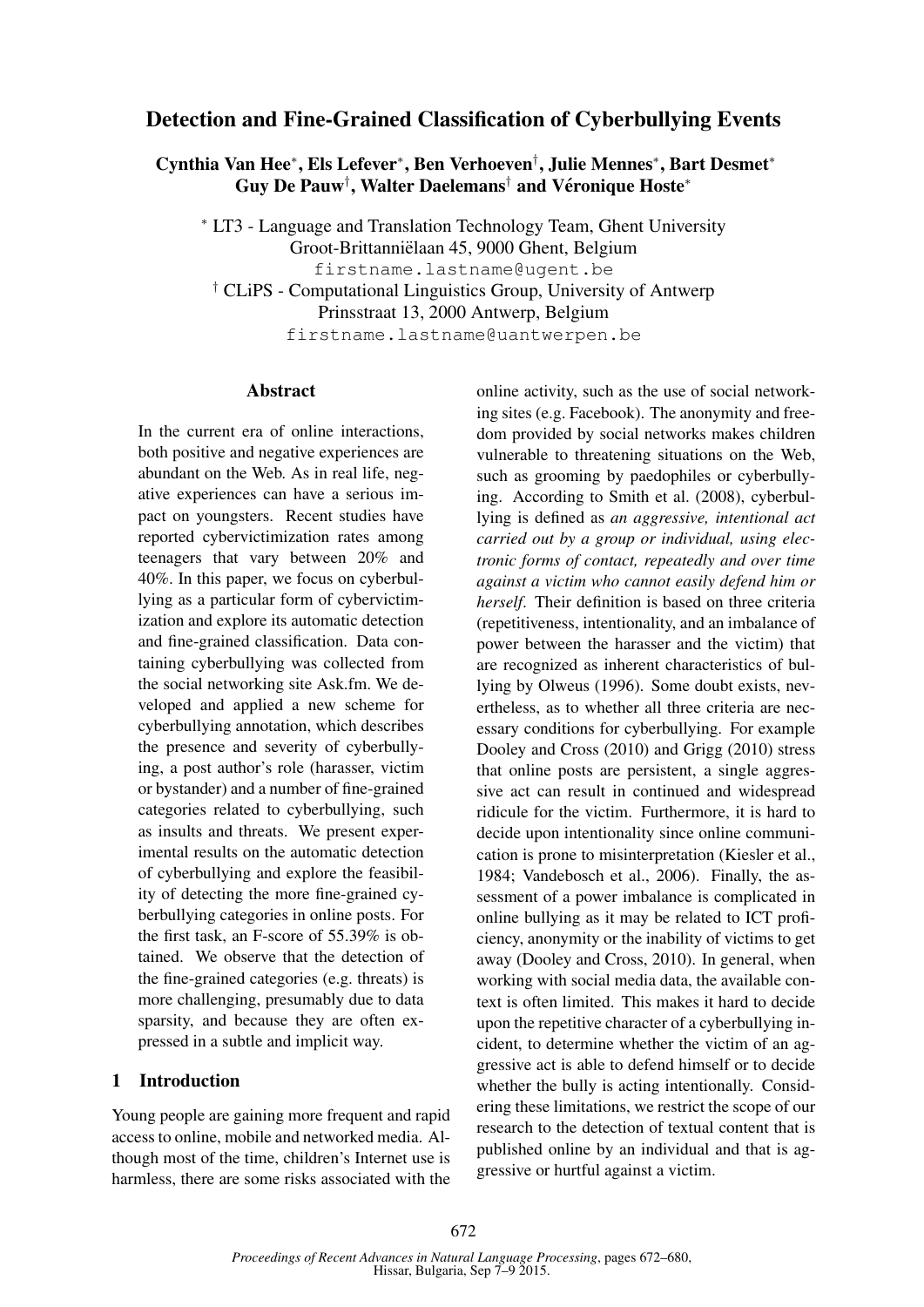# Detection and Fine-Grained Classification of Cyberbullying Events

Cynthia Van Hee<sup>∗</sup> , Els Lefever<sup>∗</sup> , Ben Verhoeven† , Julie Mennes<sup>∗</sup> , Bart Desmet<sup>∗</sup> Guy De Pauw<sup>†</sup>, Walter Daelemans<sup>†</sup> and Véronique Hoste<sup>\*</sup>

<sup>∗</sup> LT3 - Language and Translation Technology Team, Ghent University Groot-Brittannielaan 45, 9000 Ghent, Belgium ¨ firstname.lastname@ugent.be † CLiPS - Computational Linguistics Group, University of Antwerp Prinsstraat 13, 2000 Antwerp, Belgium firstname.lastname@uantwerpen.be

#### Abstract

In the current era of online interactions, both positive and negative experiences are abundant on the Web. As in real life, negative experiences can have a serious impact on youngsters. Recent studies have reported cybervictimization rates among teenagers that vary between 20% and 40%. In this paper, we focus on cyberbullying as a particular form of cybervictimization and explore its automatic detection and fine-grained classification. Data containing cyberbullying was collected from the social networking site Ask.fm. We developed and applied a new scheme for cyberbullying annotation, which describes the presence and severity of cyberbullying, a post author's role (harasser, victim or bystander) and a number of fine-grained categories related to cyberbullying, such as insults and threats. We present experimental results on the automatic detection of cyberbullying and explore the feasibility of detecting the more fine-grained cyberbullying categories in online posts. For the first task, an F-score of 55.39% is obtained. We observe that the detection of the fine-grained categories (e.g. threats) is more challenging, presumably due to data sparsity, and because they are often expressed in a subtle and implicit way.

### 1 Introduction

Young people are gaining more frequent and rapid access to online, mobile and networked media. Although most of the time, children's Internet use is harmless, there are some risks associated with the online activity, such as the use of social networking sites (e.g. Facebook). The anonymity and freedom provided by social networks makes children vulnerable to threatening situations on the Web, such as grooming by paedophiles or cyberbullying. According to Smith et al. (2008), cyberbullying is defined as *an aggressive, intentional act carried out by a group or individual, using electronic forms of contact, repeatedly and over time against a victim who cannot easily defend him or herself*. Their definition is based on three criteria (repetitiveness, intentionality, and an imbalance of power between the harasser and the victim) that are recognized as inherent characteristics of bullying by Olweus (1996). Some doubt exists, nevertheless, as to whether all three criteria are necessary conditions for cyberbullying. For example Dooley and Cross (2010) and Grigg (2010) stress that online posts are persistent, a single aggressive act can result in continued and widespread ridicule for the victim. Furthermore, it is hard to decide upon intentionality since online communication is prone to misinterpretation (Kiesler et al., 1984; Vandebosch et al., 2006). Finally, the assessment of a power imbalance is complicated in online bullying as it may be related to ICT proficiency, anonymity or the inability of victims to get away (Dooley and Cross, 2010). In general, when working with social media data, the available context is often limited. This makes it hard to decide upon the repetitive character of a cyberbullying incident, to determine whether the victim of an aggressive act is able to defend himself or to decide whether the bully is acting intentionally. Considering these limitations, we restrict the scope of our research to the detection of textual content that is published online by an individual and that is aggressive or hurtful against a victim.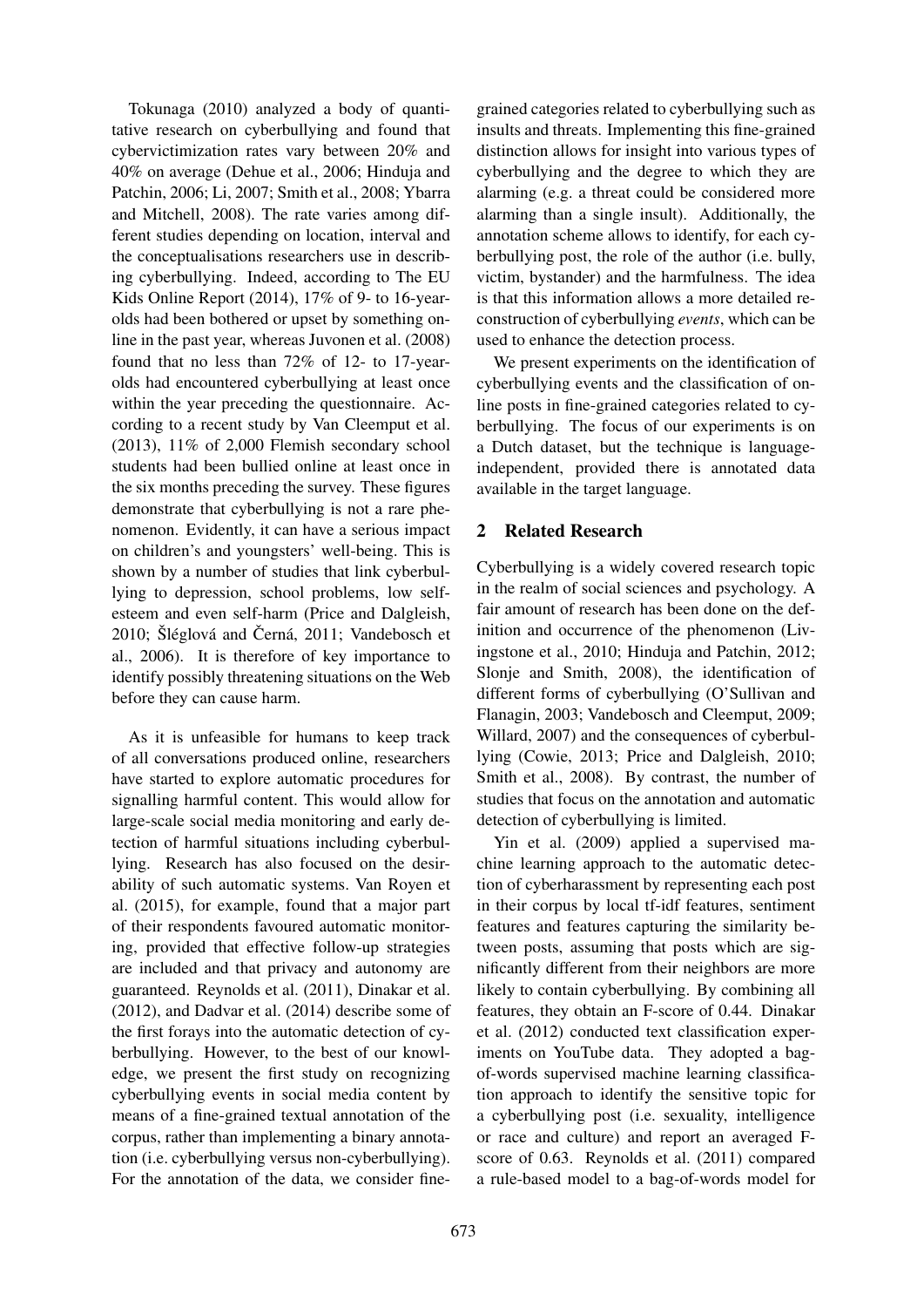Tokunaga (2010) analyzed a body of quantitative research on cyberbullying and found that cybervictimization rates vary between 20% and 40% on average (Dehue et al., 2006; Hinduja and Patchin, 2006; Li, 2007; Smith et al., 2008; Ybarra and Mitchell, 2008). The rate varies among different studies depending on location, interval and the conceptualisations researchers use in describing cyberbullying. Indeed, according to The EU Kids Online Report (2014), 17% of 9- to 16-yearolds had been bothered or upset by something online in the past year, whereas Juvonen et al. (2008) found that no less than 72% of 12- to 17-yearolds had encountered cyberbullying at least once within the year preceding the questionnaire. According to a recent study by Van Cleemput et al. (2013), 11% of 2,000 Flemish secondary school students had been bullied online at least once in the six months preceding the survey. These figures demonstrate that cyberbullying is not a rare phenomenon. Evidently, it can have a serious impact on children's and youngsters' well-being. This is shown by a number of studies that link cyberbullying to depression, school problems, low selfesteem and even self-harm (Price and Dalgleish, 2010; Šléglová and Černá, 2011; Vandebosch et al., 2006). It is therefore of key importance to identify possibly threatening situations on the Web before they can cause harm.

As it is unfeasible for humans to keep track of all conversations produced online, researchers have started to explore automatic procedures for signalling harmful content. This would allow for large-scale social media monitoring and early detection of harmful situations including cyberbullying. Research has also focused on the desirability of such automatic systems. Van Royen et al. (2015), for example, found that a major part of their respondents favoured automatic monitoring, provided that effective follow-up strategies are included and that privacy and autonomy are guaranteed. Reynolds et al. (2011), Dinakar et al. (2012), and Dadvar et al. (2014) describe some of the first forays into the automatic detection of cyberbullying. However, to the best of our knowledge, we present the first study on recognizing cyberbullying events in social media content by means of a fine-grained textual annotation of the corpus, rather than implementing a binary annotation (i.e. cyberbullying versus non-cyberbullying). For the annotation of the data, we consider finegrained categories related to cyberbullying such as insults and threats. Implementing this fine-grained distinction allows for insight into various types of cyberbullying and the degree to which they are alarming (e.g. a threat could be considered more alarming than a single insult). Additionally, the annotation scheme allows to identify, for each cyberbullying post, the role of the author (i.e. bully, victim, bystander) and the harmfulness. The idea is that this information allows a more detailed reconstruction of cyberbullying *events*, which can be used to enhance the detection process.

We present experiments on the identification of cyberbullying events and the classification of online posts in fine-grained categories related to cyberbullying. The focus of our experiments is on a Dutch dataset, but the technique is languageindependent, provided there is annotated data available in the target language.

### 2 Related Research

Cyberbullying is a widely covered research topic in the realm of social sciences and psychology. A fair amount of research has been done on the definition and occurrence of the phenomenon (Livingstone et al., 2010; Hinduja and Patchin, 2012; Slonje and Smith, 2008), the identification of different forms of cyberbullying (O'Sullivan and Flanagin, 2003; Vandebosch and Cleemput, 2009; Willard, 2007) and the consequences of cyberbullying (Cowie, 2013; Price and Dalgleish, 2010; Smith et al., 2008). By contrast, the number of studies that focus on the annotation and automatic detection of cyberbullying is limited.

Yin et al. (2009) applied a supervised machine learning approach to the automatic detection of cyberharassment by representing each post in their corpus by local tf-idf features, sentiment features and features capturing the similarity between posts, assuming that posts which are significantly different from their neighbors are more likely to contain cyberbullying. By combining all features, they obtain an F-score of 0.44. Dinakar et al. (2012) conducted text classification experiments on YouTube data. They adopted a bagof-words supervised machine learning classification approach to identify the sensitive topic for a cyberbullying post (i.e. sexuality, intelligence or race and culture) and report an averaged Fscore of 0.63. Reynolds et al. (2011) compared a rule-based model to a bag-of-words model for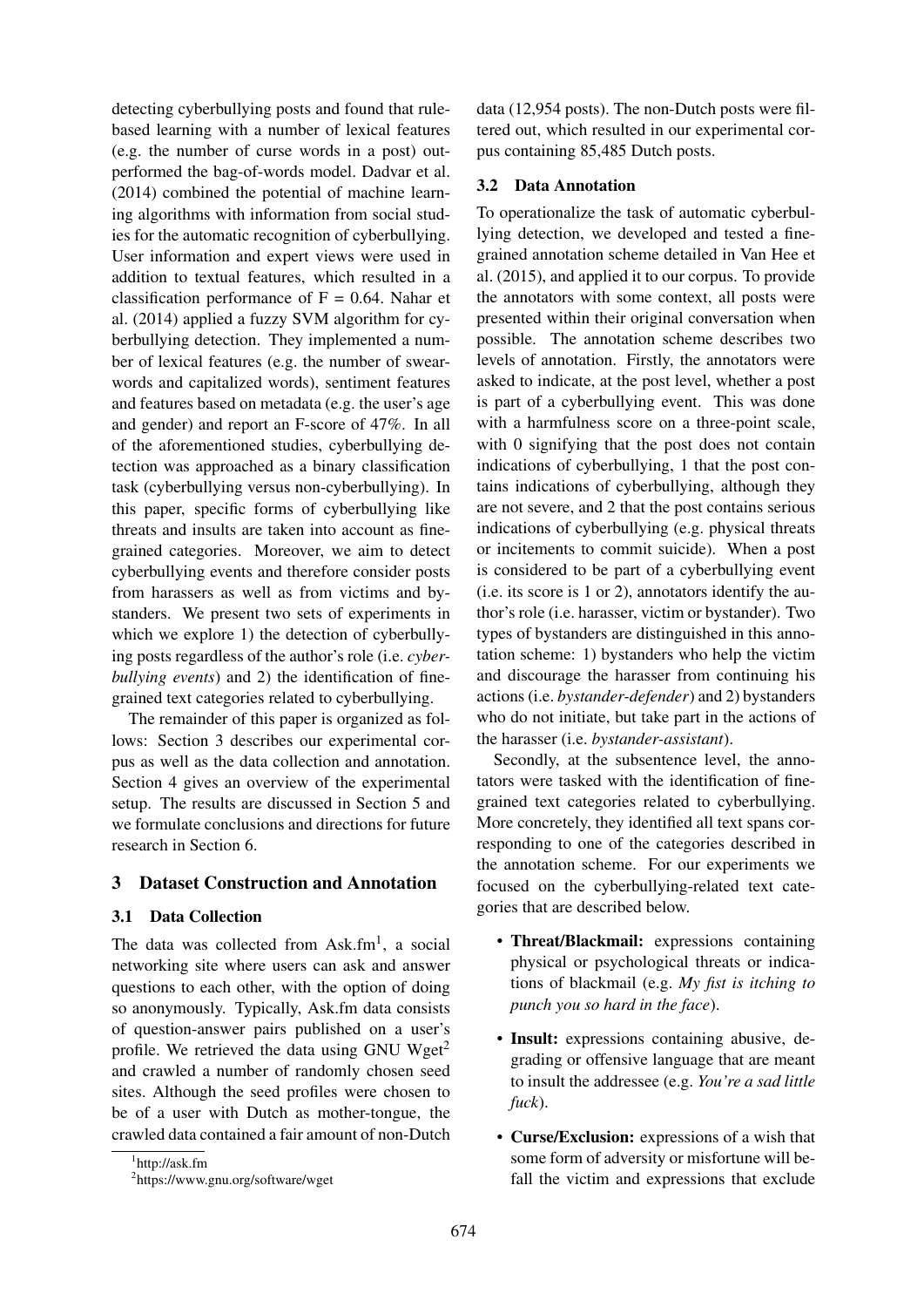detecting cyberbullying posts and found that rulebased learning with a number of lexical features (e.g. the number of curse words in a post) outperformed the bag-of-words model. Dadvar et al. (2014) combined the potential of machine learning algorithms with information from social studies for the automatic recognition of cyberbullying. User information and expert views were used in addition to textual features, which resulted in a classification performance of  $F = 0.64$ . Nahar et al. (2014) applied a fuzzy SVM algorithm for cyberbullying detection. They implemented a number of lexical features (e.g. the number of swearwords and capitalized words), sentiment features and features based on metadata (e.g. the user's age and gender) and report an F-score of 47%. In all of the aforementioned studies, cyberbullying detection was approached as a binary classification task (cyberbullying versus non-cyberbullying). In this paper, specific forms of cyberbullying like threats and insults are taken into account as finegrained categories. Moreover, we aim to detect cyberbullying events and therefore consider posts from harassers as well as from victims and bystanders. We present two sets of experiments in which we explore 1) the detection of cyberbullying posts regardless of the author's role (i.e. *cyberbullying events*) and 2) the identification of finegrained text categories related to cyberbullying.

The remainder of this paper is organized as follows: Section 3 describes our experimental corpus as well as the data collection and annotation. Section 4 gives an overview of the experimental setup. The results are discussed in Section 5 and we formulate conclusions and directions for future research in Section 6.

#### 3 Dataset Construction and Annotation

#### 3.1 Data Collection

The data was collected from Ask.fm<sup>1</sup>, a social networking site where users can ask and answer questions to each other, with the option of doing so anonymously. Typically, Ask.fm data consists of question-answer pairs published on a user's profile. We retrieved the data using GNU Wget<sup>2</sup> and crawled a number of randomly chosen seed sites. Although the seed profiles were chosen to be of a user with Dutch as mother-tongue, the crawled data contained a fair amount of non-Dutch

data (12,954 posts). The non-Dutch posts were filtered out, which resulted in our experimental corpus containing 85,485 Dutch posts.

## 3.2 Data Annotation

To operationalize the task of automatic cyberbullying detection, we developed and tested a finegrained annotation scheme detailed in Van Hee et al. (2015), and applied it to our corpus. To provide the annotators with some context, all posts were presented within their original conversation when possible. The annotation scheme describes two levels of annotation. Firstly, the annotators were asked to indicate, at the post level, whether a post is part of a cyberbullying event. This was done with a harmfulness score on a three-point scale, with 0 signifying that the post does not contain indications of cyberbullying, 1 that the post contains indications of cyberbullying, although they are not severe, and 2 that the post contains serious indications of cyberbullying (e.g. physical threats or incitements to commit suicide). When a post is considered to be part of a cyberbullying event (i.e. its score is 1 or 2), annotators identify the author's role (i.e. harasser, victim or bystander). Two types of bystanders are distinguished in this annotation scheme: 1) bystanders who help the victim and discourage the harasser from continuing his actions (i.e. *bystander-defender*) and 2) bystanders who do not initiate, but take part in the actions of the harasser (i.e. *bystander-assistant*).

Secondly, at the subsentence level, the annotators were tasked with the identification of finegrained text categories related to cyberbullying. More concretely, they identified all text spans corresponding to one of the categories described in the annotation scheme. For our experiments we focused on the cyberbullying-related text categories that are described below.

- Threat/Blackmail: expressions containing physical or psychological threats or indications of blackmail (e.g. *My fist is itching to punch you so hard in the face*).
- Insult: expressions containing abusive, degrading or offensive language that are meant to insult the addressee (e.g. *You're a sad little fuck*).
- Curse/Exclusion: expressions of a wish that some form of adversity or misfortune will befall the victim and expressions that exclude

<sup>1</sup> http://ask.fm

<sup>2</sup> https://www.gnu.org/software/wget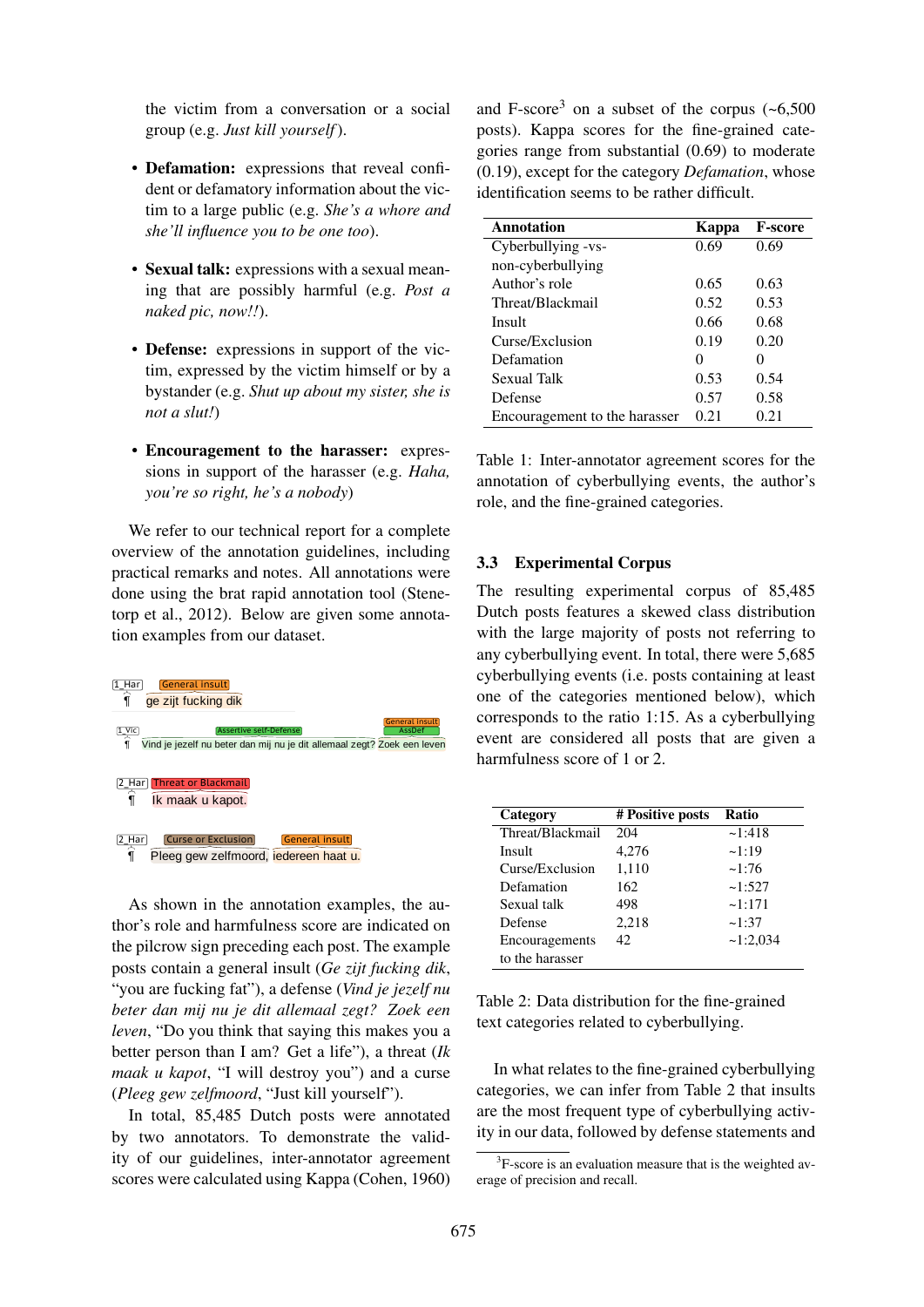the victim from a conversation or a social and Fgroup (e.g. *Just kill yourself*).

- **Defamation:** expressions that reveal confi-  $(0.19)$ , exce dent or defamatory information about the victim to a large public (e.g. *She's a whore and* **galaxies** *she'll influence you to be one too*).
- Sexual talk: expressions with a sexual meaning that are possibly harmful (e.g. *Post a* naked pic, now!!).
- Defense: expressions in support of the victim, expressed by the victim himself or by a bystander (e.g. *Shut up about my sister, she is not a slut!*) mot uitsterve, maar dan de trainingen van de trainingen van de trainingen van de trainingen van de team ook te<br>Tegense ook tegenseerde van de tegenseerde van de tegenseerde van de tegenseerde van de tegenseerde van de teg
- Encouragement to the harasser: expressions in support of the harasser (e.g. *Haha*, you're so right, he's a nobody)

We refer to our technical report for a complete overview of the annotation guidelines, including practical remarks and notes. All annotations were done using the brat rapid annotation tool (Stene- The res torp et al., 2012). Below are given some annota- $\frac{1}{1}$  tion examples from our dataset. a camples nom our dataset.



As shown in the annotation examples, the author's role and harmfulness score are indicated on Defense  $2,218$  ~1:37 the pilcrow sign preceding each post. The example Encouragemen posts contain a general insult (*Ge zijt fucking dik*,  $\frac{1}{2}$  En  $\frac{1}{2}$  is  $\frac{1}{2}$  in the fine-grained  $\frac{1}{2}$   $\frac{1}{2}$   $\frac{1}{2}$   $\frac{1}{2}$   $\frac{1}{2}$   $\frac{1}{2}$   $\frac{1}{2}$   $\frac{1}{2}$   $\frac{1}{2}$   $\frac{1}{2}$   $\frac{1}{2}$   $\frac{1}{2}$   $\frac{1}{2}$   $\frac{1}{2}$   $\frac{1}{2}$   $\frac{1}{2}$   $\frac{1$ beter dan mij nu je dit allemaal zegt? Zoek een <sup>1401 e</sup> (*Pleeg gew zelfmoord*, "Just kill yourself"). categories, we better person than I am? Get a life"), a threat (*Ik* "you are fucking fat"), a defense (*Vind je jezelf nu* leven, "Do you think that saying this makes you a maak u kapot, "I will destroy you") and a curse

by two annotators. To demonstrate the validscores were calculated using Kappa (Cohen, 1960) In total, 85,485 Dutch posts were annotated ity of our guidelines, inter-annotator agreement

group (e.g. Just kill yourself). posts). Kappa scores for the fine-grained cateand F-score<sup>3</sup> on a subset of the corpus  $(-6.500)$ gories range from substantial (0.69) to moderate (0.19), except for the category *Defamation*, whose identification seems to be rather difficult.

| Annotation                    | Kappa | <b>F-score</b> |
|-------------------------------|-------|----------------|
| Cyberbullying -vs-            | 0.69  | 0.69           |
| non-cyberbullying             |       |                |
| Author's role                 | 0.65  | 0.63           |
| Threat/Blackmail              | 0.52  | 0.53           |
| Insult                        | 0.66  | 0.68           |
| Curse/Exclusion               | 0.19  | 0.20           |
| Defamation                    | 0     | 0              |
| <b>Sexual Talk</b>            | 0.53  | 0.54           |
| Defense                       | 0.57  | 0.58           |
| Encouragement to the harasser | 0.21  | 0.21           |

Table 1: Inter-annotator agreement scores for the annotation of cyberbullying events, the author's role, and the fine-grained categories.

#### 3.3 Experimental Corpus

any cyberbullying event. In total, there were 5,685 **Examples Assertive self-Defense**<br>*Indie lezelf nu beter dan mil nu ie dit allemaal zedr? basertive self-Defense* event are considered all posts that are given a The resulting experimental corpus of 85,485 Dutch posts features a skewed class distribution with the large majority of posts not referring to cyberbullying events (i.e. posts containing at least corresponds to the ratio 1:15. As a cyberbullying

|             | Category         | # Positive posts | Ratio       |
|-------------|------------------|------------------|-------------|
|             | Threat/Blackmail | 204              | ~1:418      |
|             | Insult           | 4,276            | ~1:19       |
|             | Curse/Exclusion  | 1,110            | $\sim$ 1:76 |
|             | Defamation       | 162              | ~1:527      |
| es, the au- | Sexual talk      | 498              | ~1:171      |
| ndicated on | Defense          | 2,218            | ~1:37       |
| he example  | Encouragements   | 42               | ~1:2.034    |
| uckino dik  | to the harasser  |                  |             |
|             |                  |                  |             |

text categories related to cyberbullying.

In what relates to the fine-grained cyberbullying categories, we can infer from Table 2 that insults are the most frequent type of cyberbullying activity in our data, followed by defense statements and

<sup>&</sup>lt;sup>3</sup>F-score is an evaluation measure that is the weighted average of precision and recall.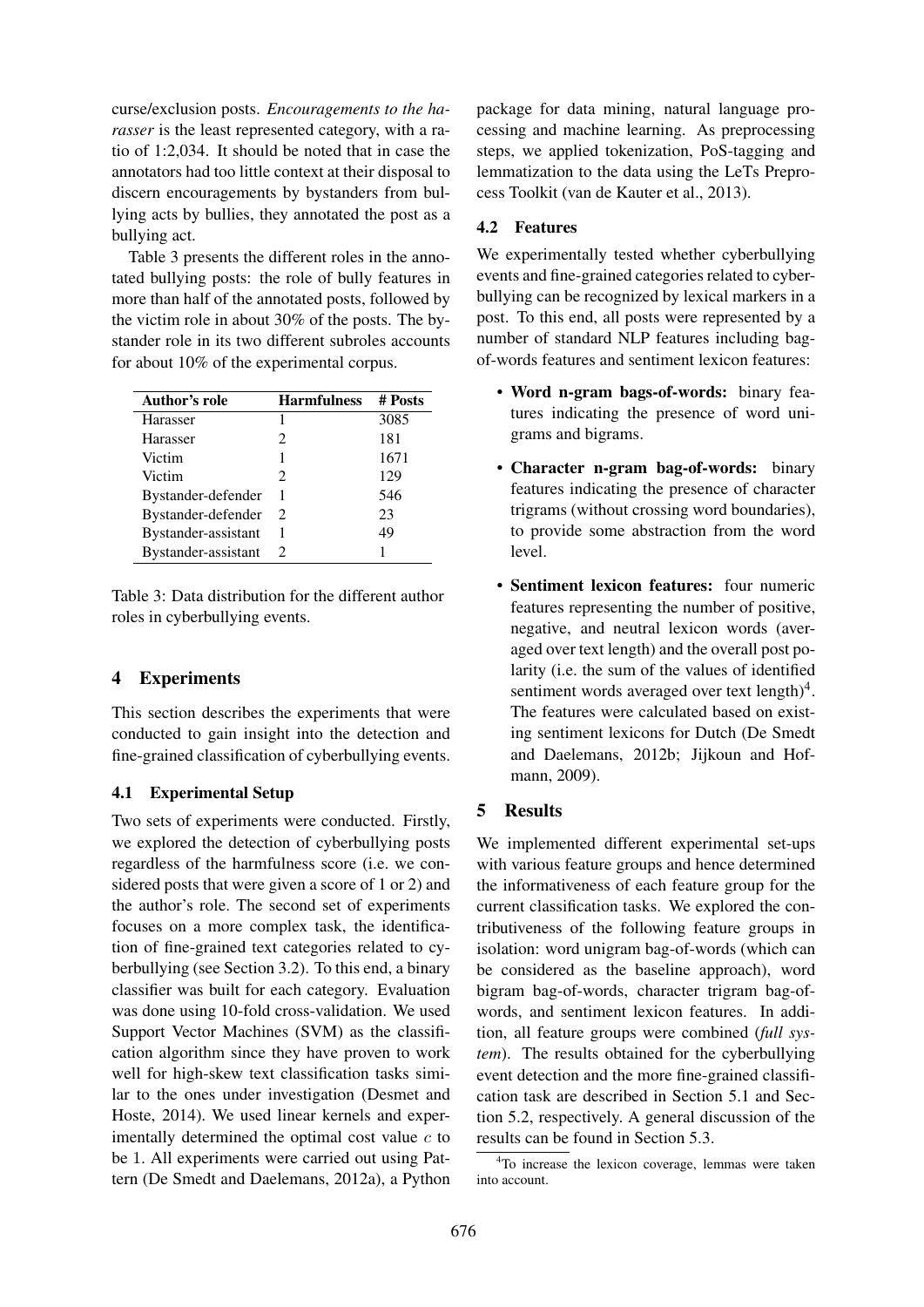curse/exclusion posts. *Encouragements to the harasser* is the least represented category, with a ratio of 1:2,034. It should be noted that in case the annotators had too little context at their disposal to discern encouragements by bystanders from bullying acts by bullies, they annotated the post as a bullying act.

Table 3 presents the different roles in the annotated bullying posts: the role of bully features in more than half of the annotated posts, followed by the victim role in about 30% of the posts. The bystander role in its two different subroles accounts for about 10% of the experimental corpus.

| Author's role       | <b>Harmfulness</b>          | # Posts |
|---------------------|-----------------------------|---------|
| Harasser            | 1                           | 3085    |
| Harasser            | $\mathcal{D}_{\mathcal{L}}$ | 181     |
| Victim              | 1                           | 1671    |
| Victim              | $\mathcal{D}_{\mathcal{L}}$ | 129     |
| Bystander-defender  | 1                           | 546     |
| Bystander-defender  | 2                           | 23      |
| Bystander-assistant | 1                           | 49      |
| Bystander-assistant | 2                           |         |

Table 3: Data distribution for the different author roles in cyberbullying events.

## 4 Experiments

This section describes the experiments that were conducted to gain insight into the detection and fine-grained classification of cyberbullying events.

#### 4.1 Experimental Setup

Two sets of experiments were conducted. Firstly, we explored the detection of cyberbullying posts regardless of the harmfulness score (i.e. we considered posts that were given a score of 1 or 2) and the author's role. The second set of experiments focuses on a more complex task, the identification of fine-grained text categories related to cyberbullying (see Section 3.2). To this end, a binary classifier was built for each category. Evaluation was done using 10-fold cross-validation. We used Support Vector Machines (SVM) as the classification algorithm since they have proven to work well for high-skew text classification tasks similar to the ones under investigation (Desmet and Hoste, 2014). We used linear kernels and experimentally determined the optimal cost value  $c$  to be 1. All experiments were carried out using Pattern (De Smedt and Daelemans, 2012a), a Python package for data mining, natural language processing and machine learning. As preprocessing steps, we applied tokenization, PoS-tagging and lemmatization to the data using the LeTs Preprocess Toolkit (van de Kauter et al., 2013).

## 4.2 Features

We experimentally tested whether cyberbullying events and fine-grained categories related to cyberbullying can be recognized by lexical markers in a post. To this end, all posts were represented by a number of standard NLP features including bagof-words features and sentiment lexicon features:

- Word n-gram bags-of-words: binary features indicating the presence of word unigrams and bigrams.
- Character n-gram bag-of-words: binary features indicating the presence of character trigrams (without crossing word boundaries), to provide some abstraction from the word level.
- Sentiment lexicon features: four numeric features representing the number of positive, negative, and neutral lexicon words (averaged over text length) and the overall post polarity (i.e. the sum of the values of identified sentiment words averaged over text length)<sup>4</sup>. The features were calculated based on existing sentiment lexicons for Dutch (De Smedt and Daelemans, 2012b; Jijkoun and Hofmann, 2009).

# 5 Results

We implemented different experimental set-ups with various feature groups and hence determined the informativeness of each feature group for the current classification tasks. We explored the contributiveness of the following feature groups in isolation: word unigram bag-of-words (which can be considered as the baseline approach), word bigram bag-of-words, character trigram bag-ofwords, and sentiment lexicon features. In addition, all feature groups were combined (*full system*). The results obtained for the cyberbullying event detection and the more fine-grained classification task are described in Section 5.1 and Section 5.2, respectively. A general discussion of the results can be found in Section 5.3.

<sup>&</sup>lt;sup>4</sup>To increase the lexicon coverage, lemmas were taken into account.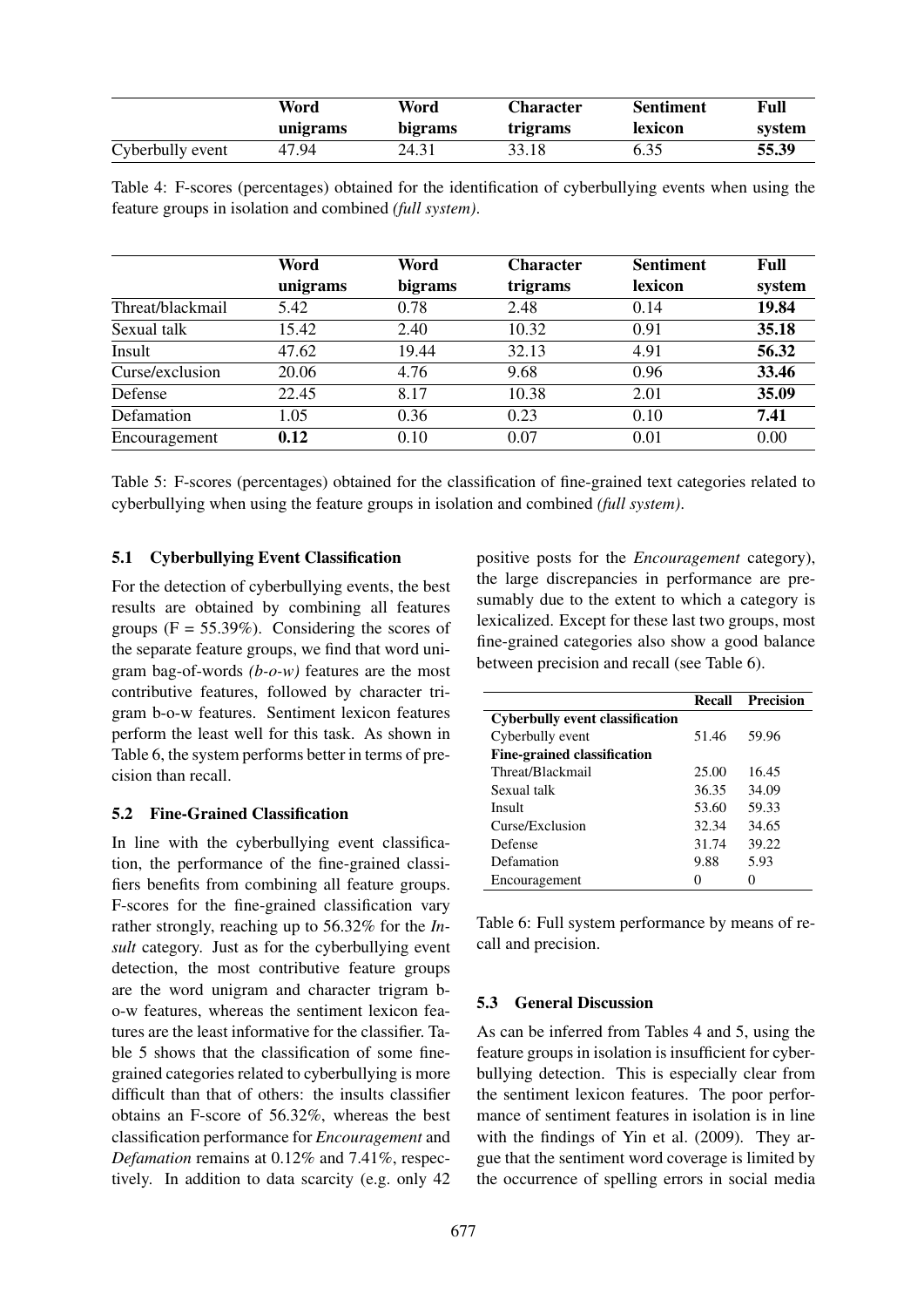|                  | Word<br>Word |         | Character | <b>Sentiment</b> | Full   |  |
|------------------|--------------|---------|-----------|------------------|--------|--|
|                  | unigrams     | bigrams | trigrams  | lexicon          | system |  |
| Cyberbully event | 47.94        | 24.31   | 33.18     | 6.35             | 55.39  |  |

Table 4: F-scores (percentages) obtained for the identification of cyberbullying events when using the feature groups in isolation and combined *(full system)*.

|                  | Word     | Word    | <b>Character</b> | <b>Sentiment</b> | Full   |
|------------------|----------|---------|------------------|------------------|--------|
|                  | unigrams | bigrams | trigrams         | lexicon          | system |
| Threat/blackmail | 5.42     | 0.78    | 2.48             | 0.14             | 19.84  |
| Sexual talk      | 15.42    | 2.40    | 10.32            | 0.91             | 35.18  |
| Insult           | 47.62    | 19.44   | 32.13            | 4.91             | 56.32  |
| Curse/exclusion  | 20.06    | 4.76    | 9.68             | 0.96             | 33.46  |
| Defense          | 22.45    | 8.17    | 10.38            | 2.01             | 35.09  |
| Defamation       | 1.05     | 0.36    | 0.23             | 0.10             | 7.41   |
| Encouragement    | 0.12     | 0.10    | 0.07             | 0.01             | 0.00   |

Table 5: F-scores (percentages) obtained for the classification of fine-grained text categories related to cyberbullying when using the feature groups in isolation and combined *(full system)*.

#### 5.1 Cyberbullying Event Classification

For the detection of cyberbullying events, the best results are obtained by combining all features groups  $(F = 55.39\%)$ . Considering the scores of the separate feature groups, we find that word unigram bag-of-words *(b-o-w)* features are the most contributive features, followed by character trigram b-o-w features. Sentiment lexicon features perform the least well for this task. As shown in Table 6, the system performs better in terms of precision than recall.

#### 5.2 Fine-Grained Classification

In line with the cyberbullying event classification, the performance of the fine-grained classifiers benefits from combining all feature groups. F-scores for the fine-grained classification vary rather strongly, reaching up to 56.32% for the *Insult* category. Just as for the cyberbullying event detection, the most contributive feature groups are the word unigram and character trigram bo-w features, whereas the sentiment lexicon features are the least informative for the classifier. Table 5 shows that the classification of some finegrained categories related to cyberbullying is more difficult than that of others: the insults classifier obtains an F-score of 56.32%, whereas the best classification performance for *Encouragement* and *Defamation* remains at 0.12% and 7.41%, respectively. In addition to data scarcity (e.g. only 42

positive posts for the *Encouragement* category), the large discrepancies in performance are presumably due to the extent to which a category is lexicalized. Except for these last two groups, most fine-grained categories also show a good balance between precision and recall (see Table 6).

|                                        | Recall | Precision |
|----------------------------------------|--------|-----------|
| <b>Cyberbully event classification</b> |        |           |
| Cyberbully event                       | 51.46  | 59.96     |
| Fine-grained classification            |        |           |
| Threat/Blackmail                       | 25.00  | 16.45     |
| Sexual talk                            | 36.35  | 34.09     |
| Insult                                 | 53.60  | 59.33     |
| Curse/Exclusion                        | 32.34  | 34.65     |
| Defense                                | 31.74  | 39.22     |
| Defamation                             | 9.88   | 5.93      |
| Encouragement                          | 0      | 0         |

Table 6: Full system performance by means of recall and precision.

## 5.3 General Discussion

As can be inferred from Tables 4 and 5, using the feature groups in isolation is insufficient for cyberbullying detection. This is especially clear from the sentiment lexicon features. The poor performance of sentiment features in isolation is in line with the findings of Yin et al. (2009). They argue that the sentiment word coverage is limited by the occurrence of spelling errors in social media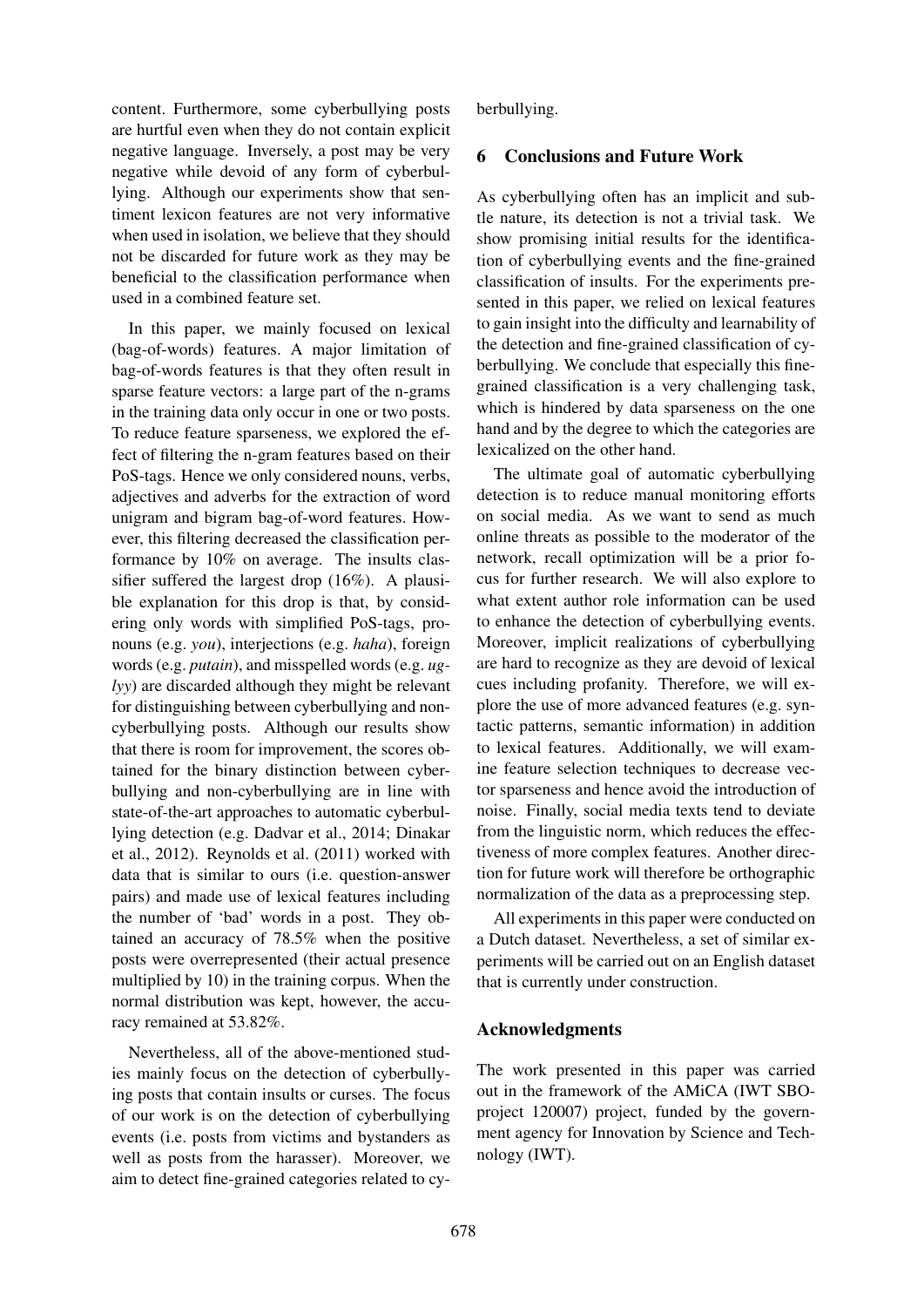content. Furthermore, some cyberbullying posts are hurtful even when they do not contain explicit negative language. Inversely, a post may be very negative while devoid of any form of cyberbullying. Although our experiments show that sentiment lexicon features are not very informative when used in isolation, we believe that they should not be discarded for future work as they may be beneficial to the classification performance when used in a combined feature set.

In this paper, we mainly focused on lexical (bag-of-words) features. A major limitation of bag-of-words features is that they often result in sparse feature vectors: a large part of the n-grams in the training data only occur in one or two posts. To reduce feature sparseness, we explored the effect of filtering the n-gram features based on their PoS-tags. Hence we only considered nouns, verbs, adjectives and adverbs for the extraction of word unigram and bigram bag-of-word features. However, this filtering decreased the classification performance by 10% on average. The insults classifier suffered the largest drop (16%). A plausible explanation for this drop is that, by considering only words with simplified PoS-tags, pronouns (e.g. *you*), interjections (e.g. *haha*), foreign words (e.g. *putain*), and misspelled words (e.g. *uglyy*) are discarded although they might be relevant for distinguishing between cyberbullying and noncyberbullying posts. Although our results show that there is room for improvement, the scores obtained for the binary distinction between cyberbullying and non-cyberbullying are in line with state-of-the-art approaches to automatic cyberbullying detection (e.g. Dadvar et al., 2014; Dinakar et al., 2012). Reynolds et al. (2011) worked with data that is similar to ours (i.e. question-answer pairs) and made use of lexical features including the number of 'bad' words in a post. They obtained an accuracy of 78.5% when the positive posts were overrepresented (their actual presence multiplied by 10) in the training corpus. When the normal distribution was kept, however, the accuracy remained at 53.82%.

Nevertheless, all of the above-mentioned studies mainly focus on the detection of cyberbullying posts that contain insults or curses. The focus of our work is on the detection of cyberbullying events (i.e. posts from victims and bystanders as well as posts from the harasser). Moreover, we aim to detect fine-grained categories related to cyberbullying.

### 6 Conclusions and Future Work

As cyberbullying often has an implicit and subtle nature, its detection is not a trivial task. We show promising initial results for the identification of cyberbullying events and the fine-grained classification of insults. For the experiments presented in this paper, we relied on lexical features to gain insight into the difficulty and learnability of the detection and fine-grained classification of cyberbullying. We conclude that especially this finegrained classification is a very challenging task, which is hindered by data sparseness on the one hand and by the degree to which the categories are lexicalized on the other hand.

The ultimate goal of automatic cyberbullying detection is to reduce manual monitoring efforts on social media. As we want to send as much online threats as possible to the moderator of the network, recall optimization will be a prior focus for further research. We will also explore to what extent author role information can be used to enhance the detection of cyberbullying events. Moreover, implicit realizations of cyberbullying are hard to recognize as they are devoid of lexical cues including profanity. Therefore, we will explore the use of more advanced features (e.g. syntactic patterns, semantic information) in addition to lexical features. Additionally, we will examine feature selection techniques to decrease vector sparseness and hence avoid the introduction of noise. Finally, social media texts tend to deviate from the linguistic norm, which reduces the effectiveness of more complex features. Another direction for future work will therefore be orthographic normalization of the data as a preprocessing step.

All experiments in this paper were conducted on a Dutch dataset. Nevertheless, a set of similar experiments will be carried out on an English dataset that is currently under construction.

## Acknowledgments

The work presented in this paper was carried out in the framework of the AMiCA (IWT SBOproject 120007) project, funded by the government agency for Innovation by Science and Technology (IWT).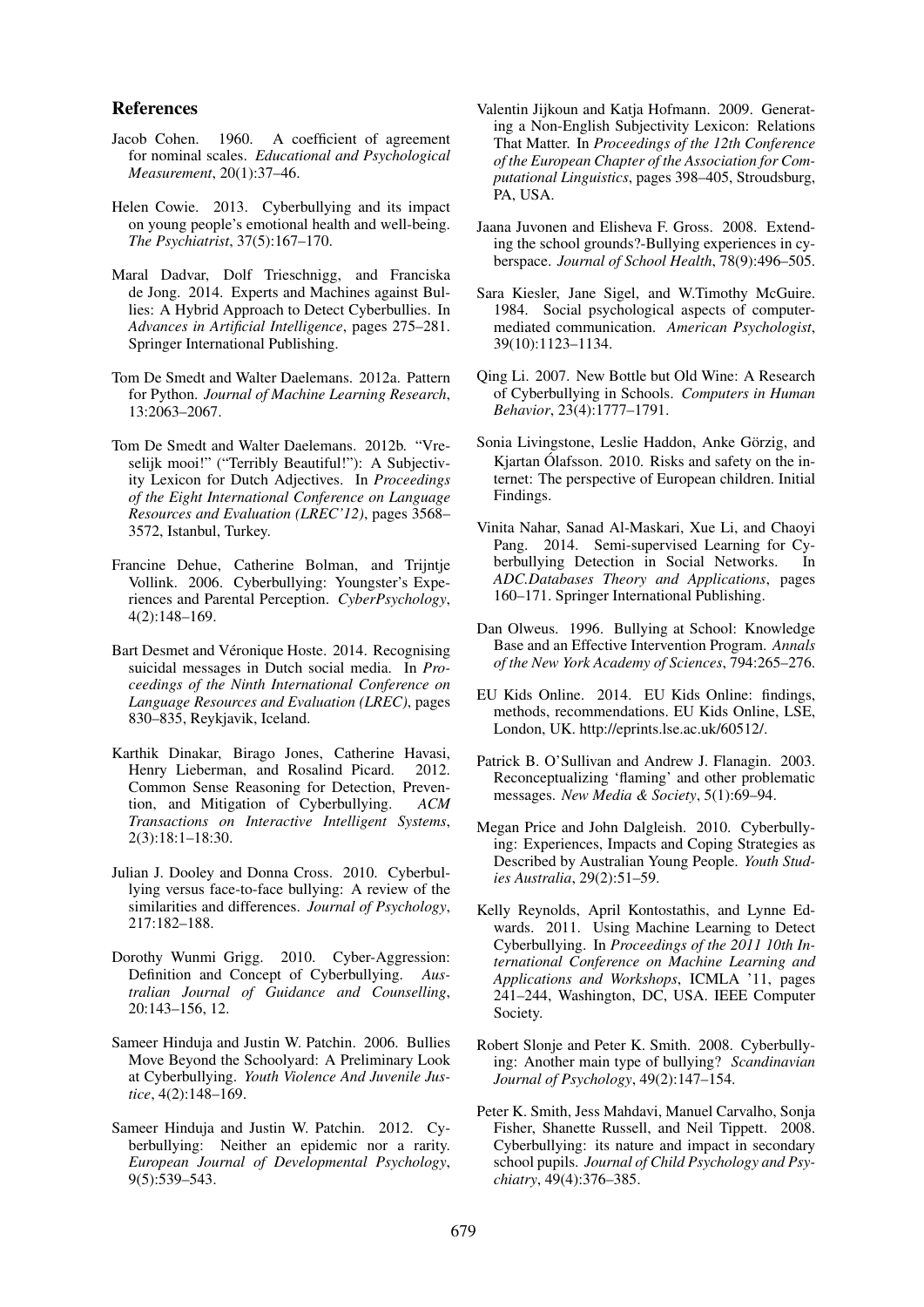#### References

- Jacob Cohen. 1960. A coefficient of agreement for nominal scales. *Educational and Psychological Measurement*, 20(1):37–46.
- Helen Cowie. 2013. Cyberbullying and its impact on young people's emotional health and well-being. *The Psychiatrist*, 37(5):167–170.
- Maral Dadvar, Dolf Trieschnigg, and Franciska de Jong. 2014. Experts and Machines against Bullies: A Hybrid Approach to Detect Cyberbullies. In *Advances in Artificial Intelligence*, pages 275–281. Springer International Publishing.
- Tom De Smedt and Walter Daelemans. 2012a. Pattern for Python. *Journal of Machine Learning Research*, 13:2063–2067.
- Tom De Smedt and Walter Daelemans. 2012b. "Vreselijk mooi!" ("Terribly Beautiful!"): A Subjectivity Lexicon for Dutch Adjectives. In *Proceedings of the Eight International Conference on Language Resources and Evaluation (LREC'12)*, pages 3568– 3572, Istanbul, Turkey.
- Francine Dehue, Catherine Bolman, and Trijntje Vollink. 2006. Cyberbullying: Youngster's Experiences and Parental Perception. *CyberPsychology*, 4(2):148–169.
- Bart Desmet and Véronique Hoste. 2014. Recognising suicidal messages in Dutch social media. In *Proceedings of the Ninth International Conference on Language Resources and Evaluation (LREC)*, pages 830–835, Reykjavik, Iceland.
- Karthik Dinakar, Birago Jones, Catherine Havasi, Henry Lieberman, and Rosalind Picard. 2012. Common Sense Reasoning for Detection, Prevention, and Mitigation of Cyberbullying. *ACM Transactions on Interactive Intelligent Systems*, 2(3):18:1–18:30.
- Julian J. Dooley and Donna Cross. 2010. Cyberbullying versus face-to-face bullying: A review of the similarities and differences. *Journal of Psychology*, 217:182–188.
- Dorothy Wunmi Grigg. 2010. Cyber-Aggression: Definition and Concept of Cyberbullying. *Australian Journal of Guidance and Counselling*, 20:143–156, 12.
- Sameer Hinduja and Justin W. Patchin. 2006. Bullies Move Beyond the Schoolyard: A Preliminary Look at Cyberbullying. *Youth Violence And Juvenile Justice*, 4(2):148–169.
- Sameer Hinduja and Justin W. Patchin. 2012. Cyberbullying: Neither an epidemic nor a rarity. *European Journal of Developmental Psychology*, 9(5):539–543.
- Valentin Jijkoun and Katia Hofmann. 2009. Generating a Non-English Subjectivity Lexicon: Relations That Matter. In *Proceedings of the 12th Conference of the European Chapter of the Association for Computational Linguistics*, pages 398–405, Stroudsburg, PA, USA.
- Jaana Juvonen and Elisheva F. Gross. 2008. Extending the school grounds?-Bullying experiences in cyberspace. *Journal of School Health*, 78(9):496–505.
- Sara Kiesler, Jane Sigel, and W.Timothy McGuire. 1984. Social psychological aspects of computermediated communication. *American Psychologist*, 39(10):1123–1134.
- Qing Li. 2007. New Bottle but Old Wine: A Research of Cyberbullying in Schools. *Computers in Human Behavior*, 23(4):1777–1791.
- Sonia Livingstone, Leslie Haddon, Anke Görzig, and Kjartan Ólafsson. 2010. Risks and safety on the internet: The perspective of European children. Initial Findings.
- Vinita Nahar, Sanad Al-Maskari, Xue Li, and Chaoyi Pang. 2014. Semi-supervised Learning for Cyberbullying Detection in Social Networks. In *ADC.Databases Theory and Applications*, pages 160–171. Springer International Publishing.
- Dan Olweus. 1996. Bullying at School: Knowledge Base and an Effective Intervention Program. *Annals of the New York Academy of Sciences*, 794:265–276.
- EU Kids Online. 2014. EU Kids Online: findings, methods, recommendations. EU Kids Online, LSE, London, UK. http://eprints.lse.ac.uk/60512/.
- Patrick B. O'Sullivan and Andrew J. Flanagin. 2003. Reconceptualizing 'flaming' and other problematic messages. *New Media & Society*, 5(1):69–94.
- Megan Price and John Dalgleish. 2010. Cyberbullying: Experiences, Impacts and Coping Strategies as Described by Australian Young People. *Youth Studies Australia*, 29(2):51–59.
- Kelly Reynolds, April Kontostathis, and Lynne Edwards. 2011. Using Machine Learning to Detect Cyberbullying. In *Proceedings of the 2011 10th International Conference on Machine Learning and Applications and Workshops*, ICMLA '11, pages 241–244, Washington, DC, USA. IEEE Computer Society.
- Robert Slonje and Peter K. Smith. 2008. Cyberbullying: Another main type of bullying? *Scandinavian Journal of Psychology*, 49(2):147–154.
- Peter K. Smith, Jess Mahdavi, Manuel Carvalho, Sonja Fisher, Shanette Russell, and Neil Tippett. 2008. Cyberbullying: its nature and impact in secondary school pupils. *Journal of Child Psychology and Psychiatry*, 49(4):376–385.